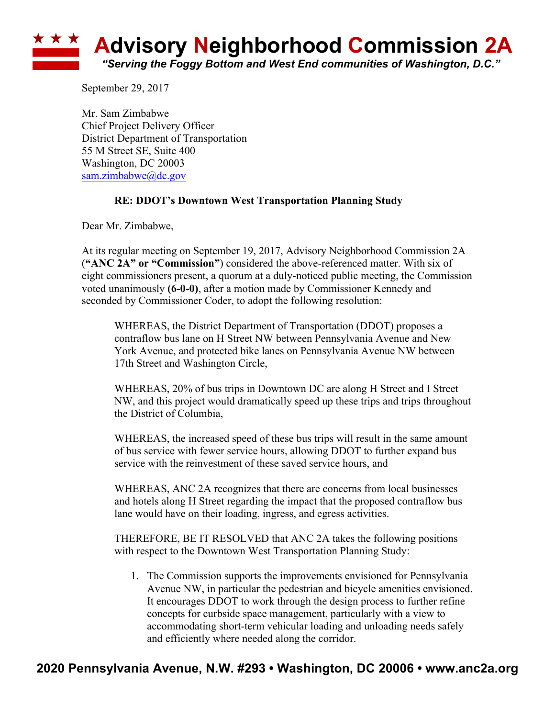## **<u><b>Advisory Neighborhood Commission 2A**</u> *"Serving the Foggy Bottom and West End communities of Washington, D.C."*

September 29, 2017

Mr. Sam Zimbabwe Chief Project Delivery Officer District Department of Transportation 55 M Street SE, Suite 400 Washington, DC 20003 sam.zimbabwe@dc.gov

## **RE: DDOT's Downtown West Transportation Planning Study**

Dear Mr. Zimbabwe,

At its regular meeting on September 19, 2017, Advisory Neighborhood Commission 2A (**"ANC 2A" or "Commission"**) considered the above-referenced matter. With six of eight commissioners present, a quorum at a duly-noticed public meeting, the Commission voted unanimously **(6-0-0)**, after a motion made by Commissioner Kennedy and seconded by Commissioner Coder, to adopt the following resolution:

WHEREAS, the District Department of Transportation (DDOT) proposes a contraflow bus lane on H Street NW between Pennsylvania Avenue and New York Avenue, and protected bike lanes on Pennsylvania Avenue NW between 17th Street and Washington Circle,

WHEREAS, 20% of bus trips in Downtown DC are along H Street and I Street NW, and this project would dramatically speed up these trips and trips throughout the District of Columbia,

WHEREAS, the increased speed of these bus trips will result in the same amount of bus service with fewer service hours, allowing DDOT to further expand bus service with the reinvestment of these saved service hours, and

WHEREAS, ANC 2A recognizes that there are concerns from local businesses and hotels along H Street regarding the impact that the proposed contraflow bus lane would have on their loading, ingress, and egress activities.

THEREFORE, BE IT RESOLVED that ANC 2A takes the following positions with respect to the Downtown West Transportation Planning Study:

1. The Commission supports the improvements envisioned for Pennsylvania Avenue NW, in particular the pedestrian and bicycle amenities envisioned. It encourages DDOT to work through the design process to further refine concepts for curbside space management, particularly with a view to accommodating short-term vehicular loading and unloading needs safely and efficiently where needed along the corridor.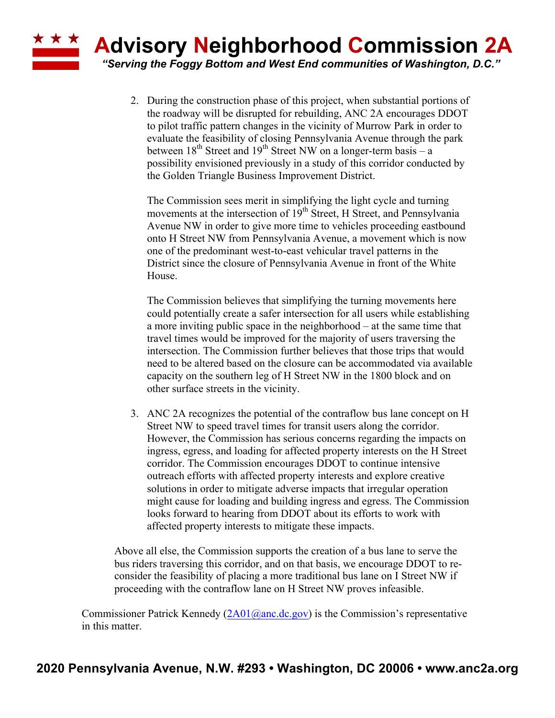## **Advisory Neighborhood Commission 2A**

**\* \* \*** 

*"Serving the Foggy Bottom and West End communities of Washington, D.C."*

2. During the construction phase of this project, when substantial portions of the roadway will be disrupted for rebuilding, ANC 2A encourages DDOT to pilot traffic pattern changes in the vicinity of Murrow Park in order to evaluate the feasibility of closing Pennsylvania Avenue through the park between  $18^{th}$  Street and  $19^{th}$  Street NW on a longer-term basis – a possibility envisioned previously in a study of this corridor conducted by the Golden Triangle Business Improvement District.

The Commission sees merit in simplifying the light cycle and turning movements at the intersection of  $19<sup>th</sup>$  Street, H Street, and Pennsylvania Avenue NW in order to give more time to vehicles proceeding eastbound onto H Street NW from Pennsylvania Avenue, a movement which is now one of the predominant west-to-east vehicular travel patterns in the District since the closure of Pennsylvania Avenue in front of the White House.

The Commission believes that simplifying the turning movements here could potentially create a safer intersection for all users while establishing a more inviting public space in the neighborhood – at the same time that travel times would be improved for the majority of users traversing the intersection. The Commission further believes that those trips that would need to be altered based on the closure can be accommodated via available capacity on the southern leg of H Street NW in the 1800 block and on other surface streets in the vicinity.

3. ANC 2A recognizes the potential of the contraflow bus lane concept on H Street NW to speed travel times for transit users along the corridor. However, the Commission has serious concerns regarding the impacts on ingress, egress, and loading for affected property interests on the H Street corridor. The Commission encourages DDOT to continue intensive outreach efforts with affected property interests and explore creative solutions in order to mitigate adverse impacts that irregular operation might cause for loading and building ingress and egress. The Commission looks forward to hearing from DDOT about its efforts to work with affected property interests to mitigate these impacts.

Above all else, the Commission supports the creation of a bus lane to serve the bus riders traversing this corridor, and on that basis, we encourage DDOT to reconsider the feasibility of placing a more traditional bus lane on I Street NW if proceeding with the contraflow lane on H Street NW proves infeasible.

Commissioner Patrick Kennedy  $(2A01@anc.de.gov)$  is the Commission's representative in this matter.